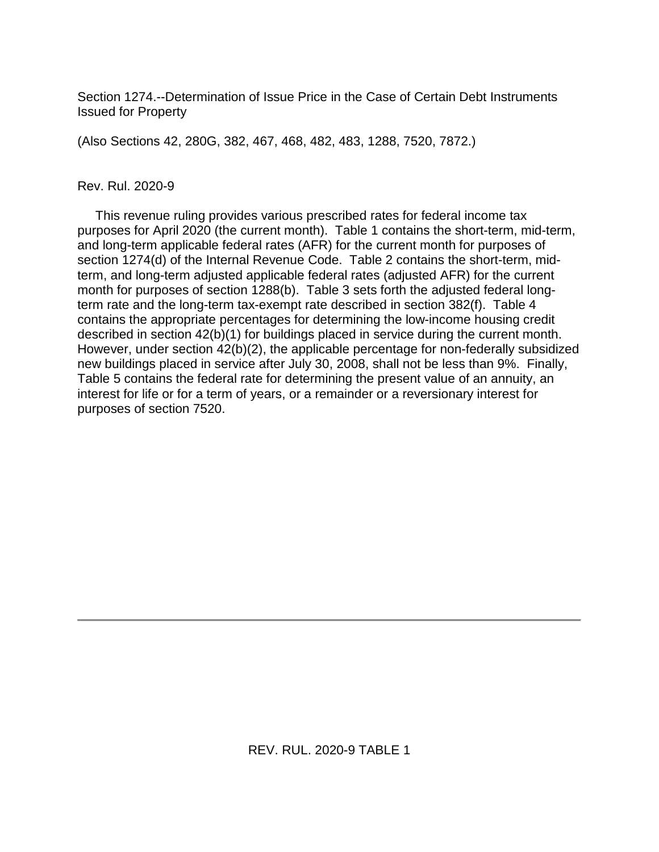Section 1274.--Determination of Issue Price in the Case of Certain Debt Instruments Issued for Property

(Also Sections 42, 280G, 382, 467, 468, 482, 483, 1288, 7520, 7872.)

#### Rev. Rul. 2020-9

 This revenue ruling provides various prescribed rates for federal income tax purposes for April 2020 (the current month). Table 1 contains the short-term, mid-term, and long-term applicable federal rates (AFR) for the current month for purposes of section 1274(d) of the Internal Revenue Code. Table 2 contains the short-term, midterm, and long-term adjusted applicable federal rates (adjusted AFR) for the current month for purposes of section 1288(b). Table 3 sets forth the adjusted federal longterm rate and the long-term tax-exempt rate described in section 382(f). Table 4 contains the appropriate percentages for determining the low-income housing credit described in section 42(b)(1) for buildings placed in service during the current month. However, under section 42(b)(2), the applicable percentage for non-federally subsidized new buildings placed in service after July 30, 2008, shall not be less than 9%. Finally, Table 5 contains the federal rate for determining the present value of an annuity, an interest for life or for a term of years, or a remainder or a reversionary interest for purposes of section 7520.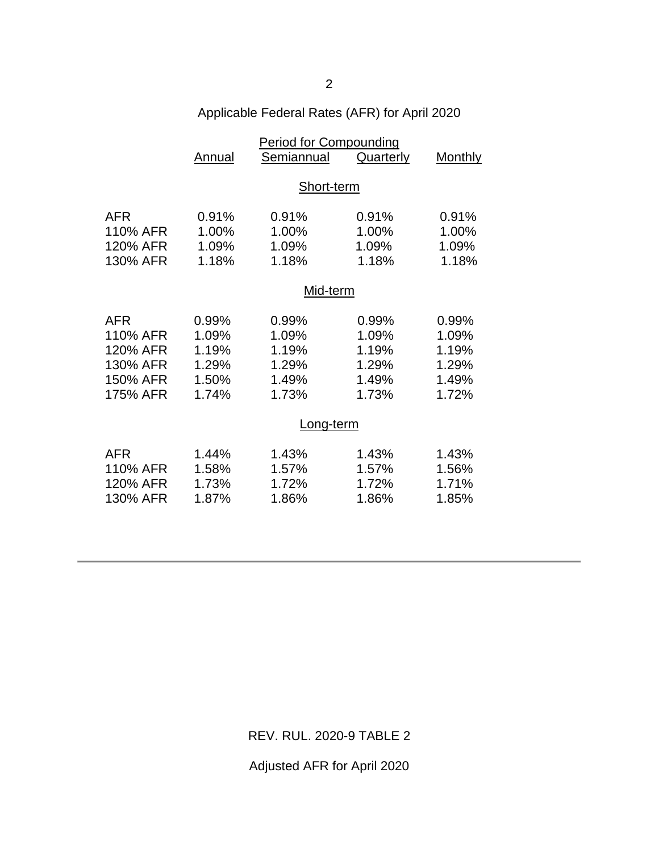| Applicable Federal Rates (AFR) for April 2020 |  |  |
|-----------------------------------------------|--|--|
|-----------------------------------------------|--|--|

|            | <b>Period for Compounding</b> |            |           |                |  |
|------------|-------------------------------|------------|-----------|----------------|--|
|            | Annual                        | Semiannual | Quarterly | <b>Monthly</b> |  |
|            |                               |            |           |                |  |
|            | Short-term                    |            |           |                |  |
|            |                               |            |           |                |  |
| <b>AFR</b> | 0.91%                         | 0.91%      | 0.91%     | 0.91%          |  |
| 110% AFR   | 1.00%                         | 1.00%      | 1.00%     | 1.00%          |  |
| 120% AFR   | 1.09%                         | 1.09%      | 1.09%     | 1.09%          |  |
| 130% AFR   | 1.18%                         | 1.18%      | 1.18%     | 1.18%          |  |
|            |                               |            |           |                |  |
|            | Mid-term                      |            |           |                |  |
| <b>AFR</b> | 0.99%                         | 0.99%      | 0.99%     | 0.99%          |  |
| 110% AFR   | 1.09%                         | 1.09%      | 1.09%     | 1.09%          |  |
| 120% AFR   | 1.19%                         | 1.19%      | 1.19%     | 1.19%          |  |
| 130% AFR   | 1.29%                         | 1.29%      | 1.29%     | 1.29%          |  |
| 150% AFR   | 1.50%                         | 1.49%      | 1.49%     | 1.49%          |  |
| 175% AFR   | 1.74%                         | 1.73%      | 1.73%     | 1.72%          |  |
|            |                               |            |           |                |  |
|            | Long-term                     |            |           |                |  |
|            |                               |            |           |                |  |
| <b>AFR</b> | 1.44%                         | 1.43%      | 1.43%     | 1.43%          |  |
| 110% AFR   | 1.58%                         | 1.57%      | 1.57%     | 1.56%          |  |
| 120% AFR   | 1.73%                         | 1.72%      | 1.72%     | 1.71%          |  |
| 130% AFR   | 1.87%                         | 1.86%      | 1.86%     | 1.85%          |  |
|            |                               |            |           |                |  |

REV. RUL. 2020-9 TABLE 2

Adjusted AFR for April 2020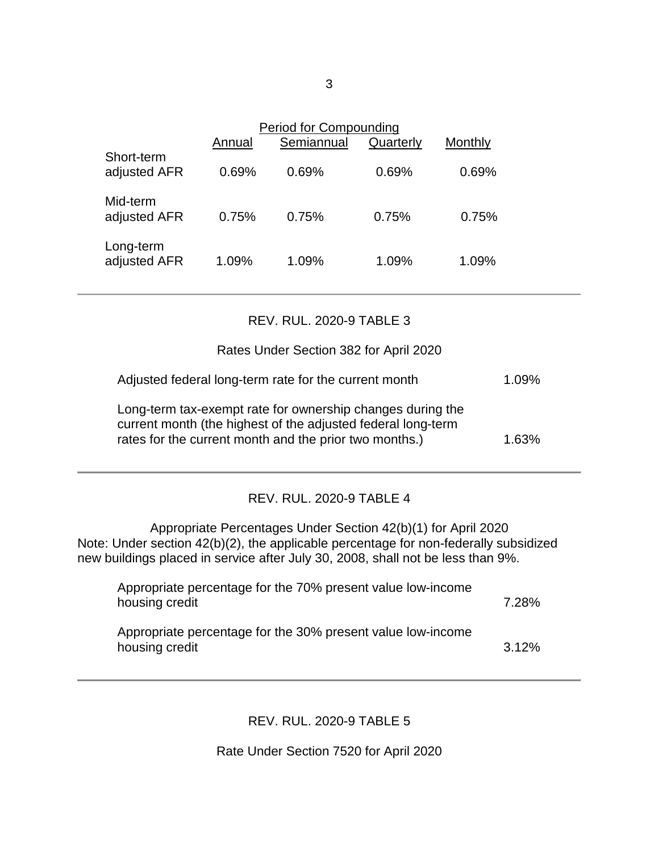|                            | Annual | Period for Compounding<br>Semiannual | Quarterly | Monthly |
|----------------------------|--------|--------------------------------------|-----------|---------|
| Short-term<br>adjusted AFR | 0.69%  | 0.69%                                | 0.69%     | 0.69%   |
| Mid-term<br>adjusted AFR   | 0.75%  | 0.75%                                | 0.75%     | 0.75%   |
| Long-term<br>adjusted AFR  | 1.09%  | 1.09%                                | 1.09%     | 1.09%   |

### REV. RUL. 2020-9 TABLE 3

### Rates Under Section 382 for April 2020

| Adjusted federal long-term rate for the current month                                                                      | $1.09\%$ |
|----------------------------------------------------------------------------------------------------------------------------|----------|
| Long-term tax-exempt rate for ownership changes during the<br>current month (the highest of the adjusted federal long-term |          |
| rates for the current month and the prior two months.)                                                                     | 1.63%    |

# REV. RUL. 2020-9 TABLE 4

Appropriate Percentages Under Section 42(b)(1) for April 2020 Note: Under section 42(b)(2), the applicable percentage for non-federally subsidized new buildings placed in service after July 30, 2008, shall not be less than 9%.

| Appropriate percentage for the 70% present value low-income<br>housing credit | 7.28% |
|-------------------------------------------------------------------------------|-------|
| Appropriate percentage for the 30% present value low-income<br>housing credit | 3.12% |

# REV. RUL. 2020-9 TABLE 5

Rate Under Section 7520 for April 2020